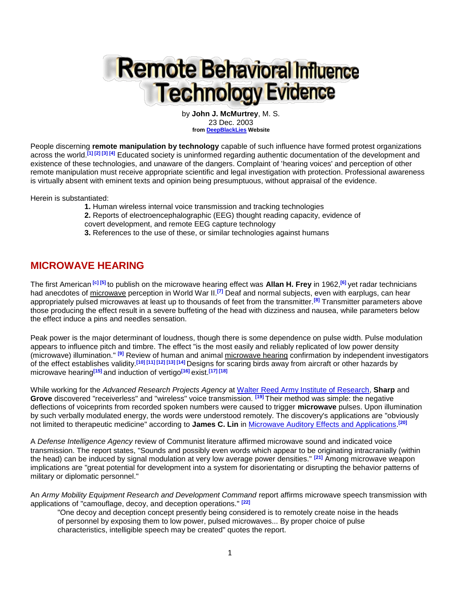# **Remote Behavioral Influence Technology Evidence**

by **John J. McMurtrey**, M. S. 23 Dec. 2003 **from [DeepBlackLies](http://www.deepblacklies.co.uk/) Website**

People discerning **remote manipulation by technology** capable of such influence have formed protest organizations across the world.**[1] [2] [3] [4]** Educated society is uninformed regarding authentic documentation of the development and existence of these technologies, and unaware of the dangers. Complaint of 'hearing voices' and perception of other remote manipulation must receive appropriate scientific and legal investigation with protection. Professional awareness is virtually absent with eminent texts and opinion being presumptuous, without appraisal of the evidence.

Herein is substantiated:

- **1.** Human wireless internal voice transmission and tracking technologies
- **2.** Reports of electroencephalographic (EEG) thought reading capacity, evidence of
- covert development, and remote EEG capture technology
- **3.** References to the use of these, or similar technologies against humans

## **MICROWAVE HEARING**

The first American **[c] [5]** to publish on the microwave hearing effect was **Allan H. Frey** in 1962,**[6]** yet radar technicians had anecdotes of microwave perception in World War II.**[7]** Deaf and normal subjects, even with earplugs, can hear appropriately pulsed microwaves at least up to thousands of feet from the transmitter.**[8]** Transmitter parameters above those producing the effect result in a severe buffeting of the head with dizziness and nausea, while parameters below the effect induce a pins and needles sensation.

Peak power is the major determinant of loudness, though there is some dependence on pulse width. Pulse modulation appears to influence pitch and timbre. The effect "is the most easily and reliably replicated of low power density (microwave) illumination." **[9]** Review of human and animal microwave hearing confirmation by independent investigators of the effect establishes validity.**[10] [11] [12] [13] [14]** Designs for scaring birds away from aircraft or other hazards by microwave hearing**[15]** and induction of vertigo**[16]** exist.**[17] [18]** 

While working for the *Advanced Research Projects Agency* at [Walter Reed Army Institute of Research,](http://wrair-www.army.mil/) **Sharp** and **Grove** discovered "receiverless" and "wireless" voice transmission. **[19]** Their method was simple: the negative deflections of voiceprints from recorded spoken numbers were caused to trigger **microwave** pulses. Upon illumination by such verbally modulated energy, the words were understood remotely. The discovery's applications are "obviously not limited to therapeutic medicine" according to **James C. Lin** in [Microwave Auditory Effects and Applications.](http://www.amazon.com/gp/product/0398037043/002-3638949-0096008?v=glance&n=283155&s=books&v=glance) **[20]**

A *Defense Intelligence Agency* review of Communist literature affirmed microwave sound and indicated voice transmission. The report states, "Sounds and possibly even words which appear to be originating intracranially (within the head) can be induced by signal modulation at very low average power densities." **[21]** Among microwave weapon implications are "great potential for development into a system for disorientating or disrupting the behavior patterns of military or diplomatic personnel."

An *Army Mobility Equipment Research and Development Command* report affirms microwave speech transmission with applications of "camouflage, decoy, and deception operations." **[22]**

"One decoy and deception concept presently being considered is to remotely create noise in the heads of personnel by exposing them to low power, pulsed microwaves... By proper choice of pulse characteristics, intelligible speech may be created" quotes the report.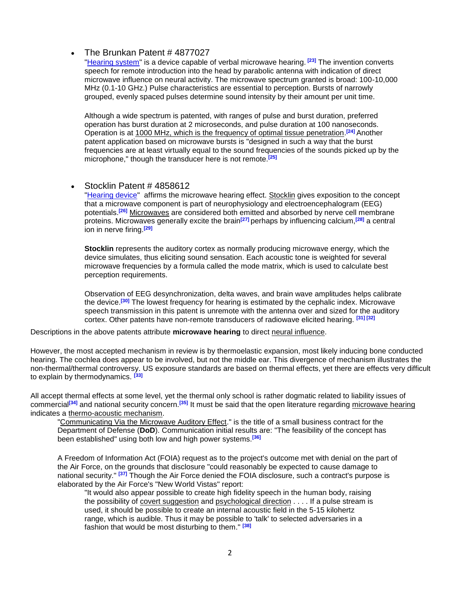#### The Brunkan Patent # 4877027

["Hearing system"](http://patft.uspto.gov/netacgi/nph-Parser?Sect1=PTO1&Sect2=HITOFF&d=PALL&p=1&u=/netahtml/srchnum.htm&r=1&f=G&l=50&s1=4877027.WKU.&OS=PN/4877027&RS=PN/4877027) is a device capable of verbal microwave hearing. **[23]** The invention converts speech for remote introduction into the head by parabolic antenna with indication of direct microwave influence on neural activity. The microwave spectrum granted is broad: 100-10,000 MHz (0.1-10 GHz.) Pulse characteristics are essential to perception. Bursts of narrowly grouped, evenly spaced pulses determine sound intensity by their amount per unit time.

Although a wide spectrum is patented, with ranges of pulse and burst duration, preferred operation has burst duration at 2 microseconds, and pulse duration at 100 nanoseconds. Operation is at 1000 MHz, which is the frequency of optimal tissue penetration. **[24]** Another patent application based on microwave bursts is "designed in such a way that the burst frequencies are at least virtually equal to the sound frequencies of the sounds picked up by the microphone," though the transducer here is not remote.**[25]**

#### • Stocklin Patent # 4858612

["Hearing device"](http://patft.uspto.gov/netacgi/nph-Parser?Sect1=PTO1&Sect2=HITOFF&d=PALL&p=1&u=/netahtml/srchnum.htm&r=1&f=G&l=50&s1=4858612.WKU.&OS=PN/4858612&RS=PN/4858612) affirms the microwave hearing effect. Stocklin gives exposition to the concept that a microwave component is part of neurophysiology and electroencephalogram (EEG) potentials.**[26]** Microwaves are considered both emitted and absorbed by nerve cell membrane proteins. Microwaves generally excite the brain**[27]** perhaps by influencing calcium,**[28]** a central ion in nerve firing.**[29]**

**Stocklin** represents the auditory cortex as normally producing microwave energy, which the device simulates, thus eliciting sound sensation. Each acoustic tone is weighted for several microwave frequencies by a formula called the mode matrix, which is used to calculate best perception requirements.

Observation of EEG desynchronization, delta waves, and brain wave amplitudes helps calibrate the device.**[30]** The lowest frequency for hearing is estimated by the cephalic index. Microwave speech transmission in this patent is unremote with the antenna over and sized for the auditory cortex. Other patents have non-remote transducers of radiowave elicited hearing. **[31] [32]**

Descriptions in the above patents attribute **microwave hearing** to direct neural influence.

However, the most accepted mechanism in review is by thermoelastic expansion, most likely inducing bone conducted hearing. The cochlea does appear to be involved, but not the middle ear. This divergence of mechanism illustrates the non-thermal/thermal controversy. US exposure standards are based on thermal effects, yet there are effects very difficult to explain by thermodynamics. **[33]**

All accept thermal effects at some level, yet the thermal only school is rather dogmatic related to liability issues of commercial**[34]** and national security concern.**[35]** It must be said that the open literature regarding microwave hearing indicates a thermo-acoustic mechanism.

"Communicating Via the Microwave Auditory Effect." is the title of a small business contract for the Department of Defense (**DoD**). Communication initial results are: "The feasibility of the concept has been established" using both low and high power systems.**[36]**

A Freedom of Information Act (FOIA) request as to the project's outcome met with denial on the part of the Air Force, on the grounds that disclosure "could reasonably be expected to cause damage to national security." **[37]** Though the Air Force denied the FOIA disclosure, such a contract's purpose is elaborated by the Air Force's "New World Vistas" report:

"It would also appear possible to create high fidelity speech in the human body, raising the possibility of covert suggestion and psychological direction . . . . If a pulse stream is used, it should be possible to create an internal acoustic field in the 5-15 kilohertz range, which is audible. Thus it may be possible to 'talk' to selected adversaries in a fashion that would be most disturbing to them." **[38]**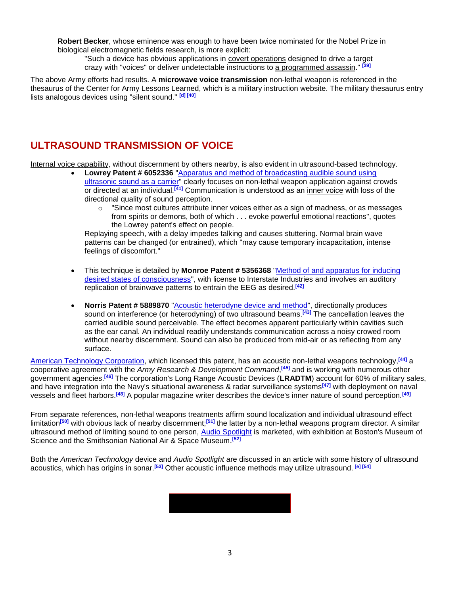**Robert Becker**, whose eminence was enough to have been twice nominated for the Nobel Prize in biological electromagnetic fields research, is more explicit:

"Such a device has obvious applications in covert operations designed to drive a target crazy with "voices" or deliver undetectable instructions to a programmed assassin." **[39]**

The above Army efforts had results. A **microwave voice transmission** non-lethal weapon is referenced in the thesaurus of the Center for Army Lessons Learned, which is a military instruction website. The military thesaurus entry lists analogous devices using "silent sound." **[d] [40]**

# **ULTRASOUND TRANSMISSION OF VOICE**

Internal voice capability, without discernment by others nearby, is also evident in ultrasound-based technology.

- **Lowrey Patent # 6052336** ["Apparatus and method of broadcasting audible sound using](http://patft.uspto.gov/netacgi/nph-Parser?Sect1=PTO1&Sect2=HITOFF&d=PALL&p=1&u=/netahtml/srchnum.htm&r=1&f=G&l=50&s1=6052336.WKU.&OS=PN/6052336&RS=PN/6052336)  [ultrasonic sound as a carrier"](http://patft.uspto.gov/netacgi/nph-Parser?Sect1=PTO1&Sect2=HITOFF&d=PALL&p=1&u=/netahtml/srchnum.htm&r=1&f=G&l=50&s1=6052336.WKU.&OS=PN/6052336&RS=PN/6052336) clearly focuses on non-lethal weapon application against crowds or directed at an individual.**[41]** Communication is understood as an inner voice with loss of the directional quality of sound perception.
	- $\circ$  "Since most cultures attribute inner voices either as a sign of madness, or as messages from spirits or demons, both of which . . . evoke powerful emotional reactions", quotes the Lowrey patent's effect on people.

Replaying speech, with a delay impedes talking and causes stuttering. Normal brain wave patterns can be changed (or entrained), which "may cause temporary incapacitation, intense feelings of discomfort."

- This technique is detailed by **Monroe Patent # 5356368** ["Method of and apparatus for inducing](http://patft.uspto.gov/netacgi/nph-Parser?Sect1=PTO1&Sect2=HITOFF&d=PALL&p=1&u=/netahtml/srchnum.htm&r=1&f=G&l=50&s1=5356368.WKU.&OS=PN/5356368&RS=PN/5356368)  [desired states of consciousness"](http://patft.uspto.gov/netacgi/nph-Parser?Sect1=PTO1&Sect2=HITOFF&d=PALL&p=1&u=/netahtml/srchnum.htm&r=1&f=G&l=50&s1=5356368.WKU.&OS=PN/5356368&RS=PN/5356368), with license to Interstate Industries and involves an auditory replication of brainwave patterns to entrain the EEG as desired.**[42]**
- **Norris Patent # 5889870** "**Acoustic heterodyne device and method**", directionally produces sound on interference (or heterodyning) of two ultrasound beams.**[43]** The cancellation leaves the carried audible sound perceivable. The effect becomes apparent particularly within cavities such as the ear canal. An individual readily understands communication across a noisy crowed room without nearby discernment. Sound can also be produced from mid-air or as reflecting from any surface.

[American Technology Corporation,](http://www.atcsd.com/) which licensed this patent, has an acoustic non-lethal weapons technology,**[44]** a cooperative agreement with the *Army Research & Development Command*, **[45]** and is working with numerous other government agencies.**[46]** The corporation's Long Range Acoustic Devices (**LRADTM**) account for 60% of military sales, and have integration into the Navy's situational awareness & radar surveillance systems**[47]** with deployment on naval vessels and fleet harbors.**[48]** A popular magazine writer describes the device's inner nature of sound perception.**[49]**

From separate references, non-lethal weapons treatments affirm sound localization and individual ultrasound effect limitation**[50]** with obvious lack of nearby discernment;**[51]** the latter by a non-lethal weapons program director. A similar ultrasound method of limiting sound to one person, [Audio Spotlight](http://www.holosonics.com/) is marketed, with exhibition at Boston's Museum of Science and the Smithsonian National Air & Space Museum.**[52]**

Both the *American Technology* device and *Audio Spotlight* are discussed in an article with some history of ultrasound acoustics, which has origins in sonar.**[53]** Other acoustic influence methods may utilize ultrasound. **[e] [54]**

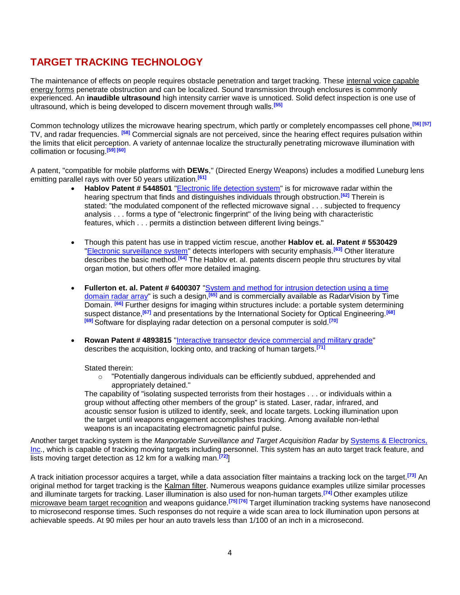# **TARGET TRACKING TECHNOLOGY**

The maintenance of effects on people requires obstacle penetration and target tracking. These internal voice capable energy forms penetrate obstruction and can be localized. Sound transmission through enclosures is commonly experienced. An **inaudible ultrasound** high intensity carrier wave is unnoticed. Solid defect inspection is one use of ultrasound, which is being developed to discern movement through walls.**[55]**

Common technology utilizes the microwave hearing spectrum, which partly or completely encompasses cell phone,**[56] [57]** TV, and radar frequencies. **[58]** Commercial signals are not perceived, since the hearing effect requires pulsation within the limits that elicit perception. A variety of antennae localize the structurally penetrating microwave illumination with collimation or focusing.**[59] [60]** 

A patent, "compatible for mobile platforms with **DEWs**," (Directed Energy Weapons) includes a modified Luneburg lens emitting parallel rays with over 50 years utilization.**[61]**

- **Hablov Patent # 5448501** ["Electronic life detection system"](http://patft.uspto.gov/netacgi/nph-Parser?Sect1=PTO1&Sect2=HITOFF&d=PALL&p=1&u=/netahtml/srchnum.htm&r=1&f=G&l=50&s1=5448501.WKU.&OS=PN/5448501&RS=PN/5448501) is for microwave radar within the hearing spectrum that finds and distinguishes individuals through obstruction.**[62]** Therein is stated: "the modulated component of the reflected microwave signal . . . subjected to frequency analysis . . . forms a type of "electronic fingerprint" of the living being with characteristic features, which . . . permits a distinction between different living beings."
- Though this patent has use in trapped victim rescue, another **Hablov et. al. Patent # 5530429** ["Electronic surveillance system"](http://patft.uspto.gov/netacgi/nph-Parser?TERM1=5530429&Sect1=PTO1&Sect2=HITOFF&d=PALL&p=1&u=/netahtml/srchnum.htm&r=0&f=S&l=50) detects interlopers with security emphasis.**[63]** Other literature describes the basic method.**[64]** The Hablov et. al. patents discern people thru structures by vital organ motion, but others offer more detailed imaging.
- **Fullerton et. al. Patent # 6400307** "System and method for intrusion detection using a time [domain radar array"](http://patft.uspto.gov/netacgi/nph-Parser?TERM1=6400307&Sect1=PTO1&Sect2=HITOFF&d=PALL&p=1&u=/netahtml/srchnum.htm&r=0&f=S&l=50) is such a design,**[65]** and is commercially available as RadarVision by Time Domain. **[66]** Further designs for imaging within structures include: a portable system determining suspect distance,**[67]** and presentations by the International Society for Optical Engineering.**[68] [69]** Software for displaying radar detection on a personal computer is sold.**[70]**
- **Rowan Patent # 4893815** ["Interactive transector device commercial and military grade"](http://patft.uspto.gov/netacgi/nph-Parser?Sect1=PTO1&Sect2=HITOFF&d=PALL&p=1&u=/netahtml/srchnum.htm&r=1&f=G&l=50&s1=4893815.WKU.&OS=PN/4893815&RS=PN/4893815) describes the acquisition, locking onto, and tracking of human targets.**[71]**

Stated therein:

 $\circ$  "Potentially dangerous individuals can be efficiently subdued, apprehended and appropriately detained."

The capability of "isolating suspected terrorists from their hostages . . . or individuals within a group without affecting other members of the group" is stated. Laser, radar, infrared, and acoustic sensor fusion is utilized to identify, seek, and locate targets. Locking illumination upon the target until weapons engagement accomplishes tracking. Among available non-lethal weapons is an incapacitating electromagnetic painful pulse.

Another target tracking system is the *Manportable Surveillance and Target Acquisition Radar* by [Systems & Electronics,](http://www.seistl.com/)  [Inc.](http://www.seistl.com/), which is capable of tracking moving targets including personnel. This system has an auto target track feature, and lists moving target detection as 12 km for a walking man.**[72]**]

A track initiation processor acquires a target, while a data association filter maintains a tracking lock on the target.**[73]** An original method for target tracking is the Kalman filter. Numerous weapons guidance examples utilize similar processes and illuminate targets for tracking. Laser illumination is also used for non-human targets.**[74]** Other examples utilize microwave beam target recognition and weapons guidance.**[75] [76]** Target illumination tracking systems have nanosecond to microsecond response times. Such responses do not require a wide scan area to lock illumination upon persons at achievable speeds. At 90 miles per hour an auto travels less than 1/100 of an inch in a microsecond.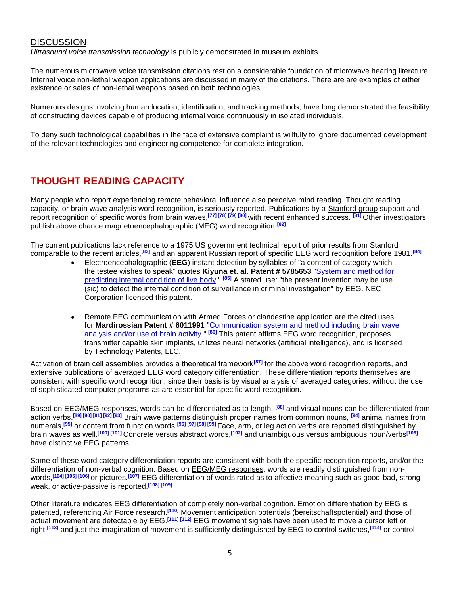### **DISCUSSION**

*Ultrasound voice transmission technology* is publicly demonstrated in museum exhibits.

The numerous microwave voice transmission citations rest on a considerable foundation of microwave hearing literature. Internal voice non-lethal weapon applications are discussed in many of the citations. There are are examples of either existence or sales of non-lethal weapons based on both technologies.

Numerous designs involving human location, identification, and tracking methods, have long demonstrated the feasibility of constructing devices capable of producing internal voice continuously in isolated individuals.

To deny such technological capabilities in the face of extensive complaint is willfully to ignore documented development of the relevant technologies and engineering competence for complete integration.

# **THOUGHT READING CAPACITY**

Many people who report experiencing remote behavioral influence also perceive mind reading. Thought reading capacity, or brain wave analysis word recognition, is seriously reported. Publications by a Stanford group support and report recognition of specific words from brain waves,**[77] [78] [79] [80]** with recent enhanced success. **[81]** Other investigators publish above chance magnetoencephalographic (MEG) word recognition.**[82]**

The current publications lack reference to a 1975 US government technical report of prior results from Stanford comparable to the recent articles,**[83]** and an apparent Russian report of specific EEG word recognition before 1981.**[84]**

- Electroencephalographic (**EEG**) instant detection by syllables of "a content of category which the testee wishes to speak" quotes **Kiyuna et. al. Patent # 5785653** ["System and method for](http://patft.uspto.gov/netacgi/nph-Parser?Sect1=PTO1&Sect2=HITOFF&d=PALL&p=1&u=/netahtml/srchnum.htm&r=1&f=G&l=50&s1=5785653.WKU.&OS=PN/5785653&RS=PN/5785653)  [predicting internal condition of live body.](http://patft.uspto.gov/netacgi/nph-Parser?Sect1=PTO1&Sect2=HITOFF&d=PALL&p=1&u=/netahtml/srchnum.htm&r=1&f=G&l=50&s1=5785653.WKU.&OS=PN/5785653&RS=PN/5785653)" **[85]** A stated use: "the present invention may be use (sic) to detect the internal condition of surveillance in criminal investigation" by EEG. NEC Corporation licensed this patent.
- Remote EEG communication with Armed Forces or clandestine application are the cited uses for **Mardirossian Patent # 6011991** ["Communication system and method including brain wave](http://patft.uspto.gov/netacgi/nph-Parser?Sect1=PTO1&Sect2=HITOFF&d=PALL&p=1&u=/netahtml/srchnum.htm&r=1&f=G&l=50&s1=6011991.WKU.&OS=PN/6011991&RS=PN/6011991)  [analysis and/or use of brain activity.](http://patft.uspto.gov/netacgi/nph-Parser?Sect1=PTO1&Sect2=HITOFF&d=PALL&p=1&u=/netahtml/srchnum.htm&r=1&f=G&l=50&s1=6011991.WKU.&OS=PN/6011991&RS=PN/6011991)" **[86]** This patent affirms EEG word recognition, proposes transmitter capable skin implants, utilizes neural networks (artificial intelligence), and is licensed by Technology Patents, LLC.

Activation of brain cell assemblies provides a theoretical framework**[87]** for the above word recognition reports, and extensive publications of averaged EEG word category differentiation. These differentiation reports themselves are consistent with specific word recognition, since their basis is by visual analysis of averaged categories, without the use of sophisticated computer programs as are essential for specific word recognition.

Based on EEG/MEG responses, words can be differentiated as to length, **[88]** and visual nouns can be differentiated from action verbs.**[89] [90] [91] [92] [93]** Brain wave patterns distinguish proper names from common nouns, **[94]** animal names from numerals,**[95]** or content from function words.**[96] [97] [98] [99]** Face, arm, or leg action verbs are reported distinguished by brain waves as well.**[100] [101]** Concrete versus abstract words,**[102]** and unambiguous versus ambiguous noun/verbs**[103]** have distinctive EEG patterns.

Some of these word category differentiation reports are consistent with both the specific recognition reports, and/or the differentiation of non-verbal cognition. Based on **EEG/MEG responses**, words are readily distinguished from nonwords,**[104] [105] [106]** or pictures.**[107]** EEG differentiation of words rated as to affective meaning such as good-bad, strongweak, or active-passive is reported.**[108] [109]** 

Other literature indicates EEG differentiation of completely non-verbal cognition. Emotion differentiation by EEG is patented, referencing Air Force research.**[110]** Movement anticipation potentials (bereitschaftspotential) and those of actual movement are detectable by EEG.**[111] [112]** EEG movement signals have been used to move a cursor left or right,**[113]** and just the imagination of movement is sufficiently distinguished by EEG to control switches,**[114]** or control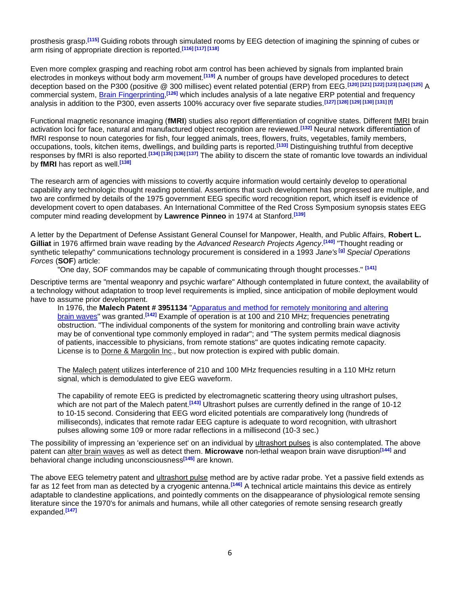prosthesis grasp.**[115]** Guiding robots through simulated rooms by EEG detection of imagining the spinning of cubes or arm rising of appropriate direction is reported.**[116] [117] [118]** 

Even more complex grasping and reaching robot arm control has been achieved by signals from implanted brain electrodes in monkeys without body arm movement.**[119]** A number of groups have developed procedures to detect deception based on the P300 (positive @ 300 millisec) event related potential (ERP) from EEG.**[120] [121] [122] [123] [124] [125]** A commercial system, [Brain Fingerprinting,](http://www.brainwavescience.com/)<sup>[126]</sup> which includes analysis of a late negative ERP potential and frequency analysis in addition to the P300, even asserts 100% accuracy over five separate studies.**[127] [128] [129] [130] [131] [f]**

Functional magnetic resonance imaging (**fMRI**) studies also report differentiation of cognitive states. Different fMRI brain activation loci for face, natural and manufactured object recognition are reviewed.**[132]** Neural network differentiation of fMRI response to noun categories for fish, four legged animals, trees, flowers, fruits, vegetables, family members, occupations, tools, kitchen items, dwellings, and building parts is reported.**[133]** Distinguishing truthful from deceptive responses by fMRI is also reported.**[134] [135] [136] [137]** The ability to discern the state of romantic love towards an individual by **fMRI** has report as well.**[138]**

The research arm of agencies with missions to covertly acquire information would certainly develop to operational capability any technologic thought reading potential. Assertions that such development has progressed are multiple, and two are confirmed by details of the 1975 government EEG specific word recognition report, which itself is evidence of development covert to open databases. An International Committee of the Red Cross Symposium synopsis states EEG computer mind reading development by **Lawrence Pinneo** in 1974 at Stanford.**[139]**

A letter by the Department of Defense Assistant General Counsel for Manpower, Health, and Public Affairs, **Robert L. Gilliat** in 1976 affirmed brain wave reading by the *Advanced Research Projects Agency*. **[140]** "Thought reading or synthetic telepathy" communications technology procurement is considered in a 1993 *Jane's* **[g]** *Special Operations Forces* (**SOF**) article:

"One day, SOF commandos may be capable of communicating through thought processes." **[141]**

Descriptive terms are "mental weaponry and psychic warfare" Although contemplated in future context, the availability of a technology without adaptation to troop level requirements is implied, since anticipation of mobile deployment would have to assume prior development.

In 1976, the **Malech Patent # 3951134** ["Apparatus and method for remotely monitoring and altering](http://patft.uspto.gov/netacgi/nph-Parser?TERM1=3951134&Sect1=PTO1&Sect2=HITOFF&d=PALL&p=1&u=/netahtml/srchnum.htm&r=0&f=S&l=50)  [brain waves"](http://patft.uspto.gov/netacgi/nph-Parser?TERM1=3951134&Sect1=PTO1&Sect2=HITOFF&d=PALL&p=1&u=/netahtml/srchnum.htm&r=0&f=S&l=50) was granted.**[142]** Example of operation is at 100 and 210 MHz; frequencies penetrating obstruction. "The individual components of the system for monitoring and controlling brain wave activity may be of conventional type commonly employed in radar"; and "The system permits medical diagnosis of patients, inaccessible to physicians, from remote stations" are quotes indicating remote capacity. License is to Dorne & Margolin Inc., but now protection is expired with public domain.

The Malech patent utilizes interference of 210 and 100 MHz frequencies resulting in a 110 MHz return signal, which is demodulated to give EEG waveform.

The capability of remote EEG is predicted by electromagnetic scattering theory using ultrashort pulses, which are not part of the Malech patent.<sup>[143]</sup> Ultrashort pulses are currently defined in the range of 10-12 to 10-15 second. Considering that EEG word elicited potentials are comparatively long (hundreds of milliseconds), indicates that remote radar EEG capture is adequate to word recognition, with ultrashort pulses allowing some 109 or more radar reflections in a millisecond (10-3 sec.)

The possibility of impressing an 'experience set' on an individual by ultrashort pulses is also contemplated. The above patent can alter brain waves as well as detect them. **Microwave** non-lethal weapon brain wave disruption**[144]** and behavioral change including unconsciousness**[145]** are known.

The above EEG telemetry patent and ultrashort pulse method are by active radar probe. Yet a passive field extends as far as 12 feet from man as detected by a cryogenic antenna.**[146]** A technical article maintains this device as entirely adaptable to clandestine applications, and pointedly comments on the disappearance of physiological remote sensing literature since the 1970's for animals and humans, while all other categories of remote sensing research greatly expanded.**[147]**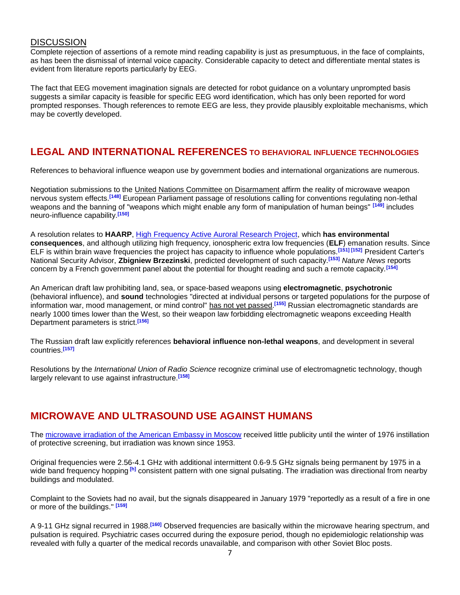#### **DISCUSSION**

Complete rejection of assertions of a remote mind reading capability is just as presumptuous, in the face of complaints, as has been the dismissal of internal voice capacity. Considerable capacity to detect and differentiate mental states is evident from literature reports particularly by EEG.

The fact that EEG movement imagination signals are detected for robot guidance on a voluntary unprompted basis suggests a similar capacity is feasible for specific EEG word identification, which has only been reported for word prompted responses. Though references to remote EEG are less, they provide plausibly exploitable mechanisms, which may be covertly developed.

# **LEGAL AND INTERNATIONAL REFERENCES TO BEHAVIORAL INFLUENCE TECHNOLOGIES**

References to behavioral influence weapon use by government bodies and international organizations are numerous.

Negotiation submissions to the United Nations Committee on Disarmament affirm the reality of microwave weapon nervous system effects.**[148]** European Parliament passage of resolutions calling for conventions regulating non-lethal weapons and the banning of "weapons which might enable any form of manipulation of human beings" **[149]** includes neuro-influence capability.**[150]**

A resolution relates to **HAARP**, [High Frequency Active Auroral Research Project,](http://www.bibliotecapleyades.net/esp_HAARP.htm) which **has environmental consequences**, and although utilizing high frequency, ionospheric extra low frequencies (**ELF**) emanation results. Since ELF is within brain wave frequencies the project has capacity to influence whole populations.**[151] [152]** President Carter's National Security Advisor, **Zbigniew Brzezinski**, predicted development of such capacity.**[153]** *Nature News* reports concern by a French government panel about the potential for thought reading and such a remote capacity.**[154]**

An American draft law prohibiting land, sea, or space-based weapons using **electromagnetic**, **psychotronic** (behavioral influence), and **sound** technologies "directed at individual persons or targeted populations for the purpose of information war, mood management, or mind control" has not yet passed. **[155]** Russian electromagnetic standards are nearly 1000 times lower than the West, so their weapon law forbidding electromagnetic weapons exceeding Health Department parameters is strict.**[156]**

The Russian draft law explicitly references **behavioral influence non-lethal weapons**, and development in several countries.**[157]**

Resolutions by the *International Union of Radio Science* recognize criminal use of electromagnetic technology, though largely relevant to use against infrastructure.**[158]**

# **MICROWAVE AND ULTRASOUND USE AGAINST HUMANS**

The [microwave irradiation of the American Embassy in Moscow](http://www.bibliotecapleyades.net/archivos_pdf/moscow-embassy-incident.pdf) received little publicity until the winter of 1976 instillation of protective screening, but irradiation was known since 1953.

Original frequencies were 2.56-4.1 GHz with additional intermittent 0.6-9.5 GHz signals being permanent by 1975 in a wide band frequency hopping **[h]** consistent pattern with one signal pulsating. The irradiation was directional from nearby buildings and modulated.

Complaint to the Soviets had no avail, but the signals disappeared in January 1979 "reportedly as a result of a fire in one or more of the buildings." **[159]**

A 9-11 GHz signal recurred in 1988.**[160]** Observed frequencies are basically within the microwave hearing spectrum, and pulsation is required. Psychiatric cases occurred during the exposure period, though no epidemiologic relationship was revealed with fully a quarter of the medical records unavailable, and comparison with other Soviet Bloc posts.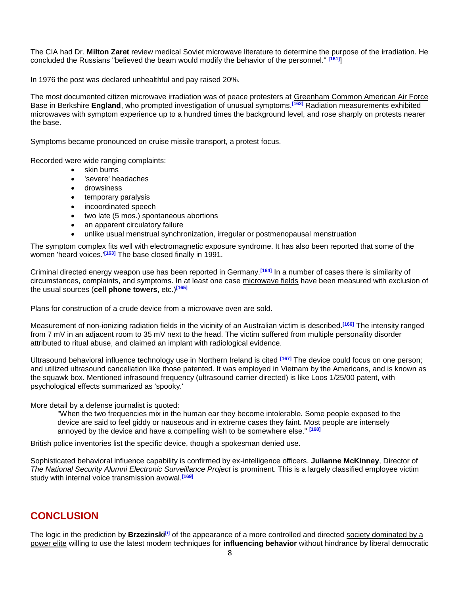The CIA had Dr. **Milton Zaret** review medical Soviet microwave literature to determine the purpose of the irradiation. He concluded the Russians "believed the beam would modify the behavior of the personnel." **[161]**]

In 1976 the post was declared unhealthful and pay raised 20%.

The most documented citizen microwave irradiation was of peace protesters at Greenham Common American Air Force Base in Berkshire **England**, who prompted investigation of unusual symptoms.**[162]** Radiation measurements exhibited microwaves with symptom experience up to a hundred times the background level, and rose sharply on protests nearer the base.

Symptoms became pronounced on cruise missile transport, a protest focus.

Recorded were wide ranging complaints:

- skin burns
- 'severe' headaches
- drowsiness
- temporary paralysis
- incoordinated speech
- two late (5 mos.) spontaneous abortions
- an apparent circulatory failure
- unlike usual menstrual synchronization, irregular or postmenopausal menstruation

The symptom complex fits well with electromagnetic exposure syndrome. It has also been reported that some of the women 'heard voices.'**[163]** The base closed finally in 1991.

Criminal directed energy weapon use has been reported in Germany.**[164]** In a number of cases there is similarity of circumstances, complaints, and symptoms. In at least one case microwave fields have been measured with exclusion of the usual sources (**cell phone towers**, etc.)**[165]**

Plans for construction of a crude device from a microwave oven are sold.

Measurement of non-ionizing radiation fields in the vicinity of an Australian victim is described.**[166]** The intensity ranged from 7 mV in an adjacent room to 35 mV next to the head. The victim suffered from multiple personality disorder attributed to ritual abuse, and claimed an implant with radiological evidence.

Ultrasound behavioral influence technology use in Northern Ireland is cited **[167]** The device could focus on one person; and utilized ultrasound cancellation like those patented. It was employed in Vietnam by the Americans, and is known as the squawk box. Mentioned infrasound frequency (ultrasound carrier directed) is like Loos 1/25/00 patent, with psychological effects summarized as 'spooky.'

More detail by a defense journalist is quoted:

"When the two frequencies mix in the human ear they become intolerable. Some people exposed to the device are said to feel giddy or nauseous and in extreme cases they faint. Most people are intensely annoyed by the device and have a compelling wish to be somewhere else." **[168]**

British police inventories list the specific device, though a spokesman denied use.

Sophisticated behavioral influence capability is confirmed by ex-intelligence officers. **Julianne McKinney**, Director of *The National Security Alumni Electronic Surveillance Project* is prominent. This is a largely classified employee victim study with internal voice transmission avowal.**[169]**

# **CONCLUSION**

The logic in the prediction by **Brzezinski[i]** of the appearance of a more controlled and directed society dominated by a power elite willing to use the latest modern techniques for **influencing behavior** without hindrance by liberal democratic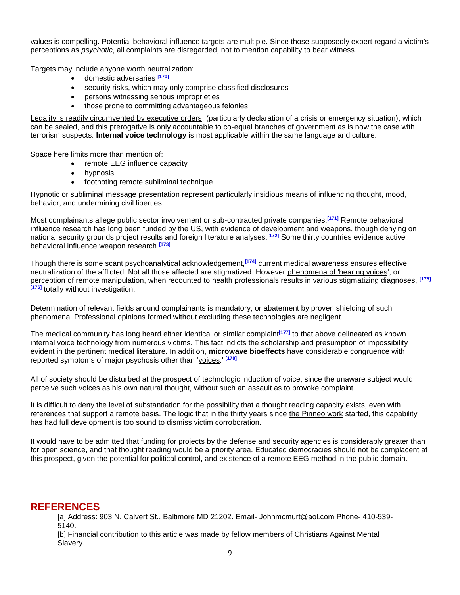values is compelling. Potential behavioral influence targets are multiple. Since those supposedly expert regard a victim's perceptions as *psychotic*, all complaints are disregarded, not to mention capability to bear witness.

Targets may include anyone worth neutralization:

- domestic adversaries **[170]**
- security risks, which may only comprise classified disclosures
- persons witnessing serious improprieties
- those prone to committing advantageous felonies

Legality is readily circumvented by executive orders, (particularly declaration of a crisis or emergency situation), which can be sealed, and this prerogative is only accountable to co-equal branches of government as is now the case with terrorism suspects. **Internal voice technology** is most applicable within the same language and culture.

Space here limits more than mention of:

- remote EEG influence capacity
- hypnosis
- footnoting remote subliminal technique

Hypnotic or subliminal message presentation represent particularly insidious means of influencing thought, mood, behavior, and undermining civil liberties.

Most complainants allege public sector involvement or sub-contracted private companies.**[171]** Remote behavioral influence research has long been funded by the US, with evidence of development and weapons, though denying on national security grounds project results and foreign literature analyses.**[172]** Some thirty countries evidence active behavioral influence weapon research.**[173]**

Though there is some scant psychoanalytical acknowledgement,**[174]** current medical awareness ensures effective neutralization of the afflicted. Not all those affected are stigmatized. However phenomena of 'hearing voices', or perception of remote manipulation, when recounted to health professionals results in various stigmatizing diagnoses, **[175] [176]** totally without investigation.

Determination of relevant fields around complainants is mandatory, or abatement by proven shielding of such phenomena. Professional opinions formed without excluding these technologies are negligent.

The medical community has long heard either identical or similar complaint**[177]** to that above delineated as known internal voice technology from numerous victims. This fact indicts the scholarship and presumption of impossibility evident in the pertinent medical literature. In addition, **microwave bioeffects** have considerable congruence with reported symptoms of major psychosis other than 'voices.' **[178]**

All of society should be disturbed at the prospect of technologic induction of voice, since the unaware subject would perceive such voices as his own natural thought, without such an assault as to provoke complaint.

It is difficult to deny the level of substantiation for the possibility that a thought reading capacity exists, even with references that support a remote basis. The logic that in the thirty years since the Pinneo work started, this capability has had full development is too sound to dismiss victim corroboration.

It would have to be admitted that funding for projects by the defense and security agencies is considerably greater than for open science, and that thought reading would be a priority area. Educated democracies should not be complacent at this prospect, given the potential for political control, and existence of a remote EEG method in the public domain.

## **REFERENCES**

[a] Address: 903 N. Calvert St., Baltimore MD 21202. Email- Johnmcmurt@aol.com Phone- 410-539- 5140.

[b] Financial contribution to this article was made by fellow members of Christians Against Mental Slavery.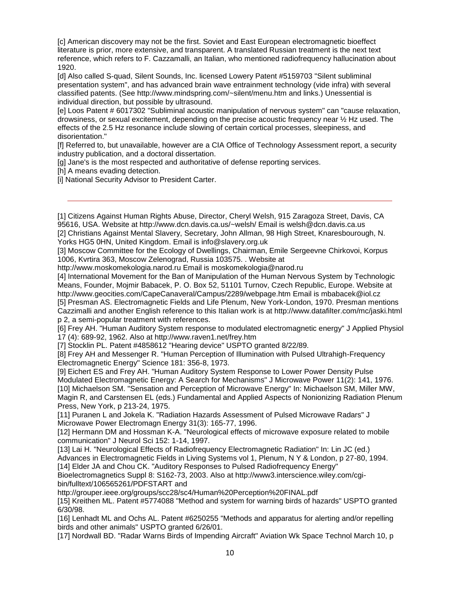[c] American discovery may not be the first. Soviet and East European electromagnetic bioeffect literature is prior, more extensive, and transparent. A translated Russian treatment is the next text reference, which refers to F. Cazzamalli, an Italian, who mentioned radiofrequency hallucination about 1920.

[d] Also called S-quad, Silent Sounds, Inc. licensed Lowery Patent #5159703 "Silent subliminal presentation system", and has advanced brain wave entrainment technology (vide infra) with several classified patents. (See http://www.mindspring.com/~silent/menu.htm and links.) Unessential is individual direction, but possible by ultrasound.

[e] Loos Patent # 6017302 "Subliminal acoustic manipulation of nervous system" can "cause relaxation, drowsiness, or sexual excitement, depending on the precise acoustic frequency near ½ Hz used. The effects of the 2.5 Hz resonance include slowing of certain cortical processes, sleepiness, and disorientation."

[f] Referred to, but unavailable, however are a CIA Office of Technology Assessment report, a security industry publication, and a doctoral dissertation.

[g] Jane's is the most respected and authoritative of defense reporting services.

[h] A means evading detection.

[i] National Security Advisor to President Carter.

[1] Citizens Against Human Rights Abuse, Director, Cheryl Welsh, 915 Zaragoza Street, Davis, CA 95616, USA. Website at http://www.dcn.davis.ca.us/~welsh/ Email is welsh@dcn.davis.ca.us

[2] Christians Against Mental Slavery, Secretary, John Allman, 98 High Street, Knaresbourough, N. Yorks HG5 0HN, United Kingdom. Email is info@slavery.org.uk

[3] Moscow Committee for the Ecology of Dwellings, Chairman, Emile Sergeevne Chirkovoi, Korpus 1006, Kvrtira 363, Moscow Zelenograd, Russia 103575. . Website at

http://www.moskomekologia.narod.ru Email is moskomekologia@narod.ru

[4] International Movement for the Ban of Manipulation of the Human Nervous System by Technologic Means, Founder, Mojmir Babacek, P. O. Box 52, 51101 Turnov, Czech Republic, Europe. Website at http://www.geocities.com/CapeCanaveral/Campus/2289/webpage.htm Email is mbabacek@iol.cz

[5] Presman AS. Electromagnetic Fields and Life Plenum, New York-London, 1970. Presman mentions Cazzimalli and another English reference to this Italian work is at http://www.datafilter.com/mc/jaski.html p 2, a semi-popular treatment with references.

[6] Frey AH. "Human Auditory System response to modulated electromagnetic energy" J Applied Physiol 17 (4): 689-92, 1962. Also at http://www.raven1.net/frey.htm

[7] Stocklin PL. Patent #4858612 "Hearing device" USPTO granted 8/22/89.

[8] Frey AH and Messenger R. "Human Perception of Illumination with Pulsed Ultrahigh-Frequency Electromagnetic Energy" Science 181: 356-8, 1973.

[9] Eichert ES and Frey AH. "Human Auditory System Response to Lower Power Density Pulse Modulated Electromagnetic Energy: A Search for Mechanisms" J Microwave Power 11(2): 141, 1976. [10] Michaelson SM. "Sensation and Perception of Microwave Energy" In: Michaelson SM, Miller MW, Magin R, and Carstensen EL (eds.) Fundamental and Applied Aspects of Nonionizing Radiation Plenum Press, New York, p 213-24, 1975.

[11] Puranen L and Jokela K. "Radiation Hazards Assessment of Pulsed Microwave Radars" J Microwave Power Electromagn Energy 31(3): 165-77, 1996.

[12] Hermann DM and Hossman K-A. "Neurological effects of microwave exposure related to mobile communication" J Neurol Sci 152: 1-14, 1997.

[13] Lai H. "Neurological Effects of Radiofrequency Electromagnetic Radiation" In: Lin JC (ed.) Advances in Electromagnetic Fields in Living Systems vol 1, Plenum, N Y & London, p 27-80, 1994.

[14] Elder JA and Chou CK. "Auditory Responses to Pulsed Radiofrequency Energy"

Bioelectromagnetics Suppl 8: S162-73, 2003. Also at http://www3.interscience.wiley.com/cgibin/fulltext/106565261/PDFSTART and

http://grouper.ieee.org/groups/scc28/sc4/Human%20Perception%20FINAL.pdf

[15] Kreithen ML. Patent #5774088 "Method and system for warning birds of hazards" USPTO granted 6/30/98.

[16] Lenhadt ML and Ochs AL. Patent #6250255 "Methods and apparatus for alerting and/or repelling birds and other animals" USPTO granted 6/26/01.

[17] Nordwall BD. "Radar Warns Birds of Impending Aircraft" Aviation Wk Space Technol March 10, p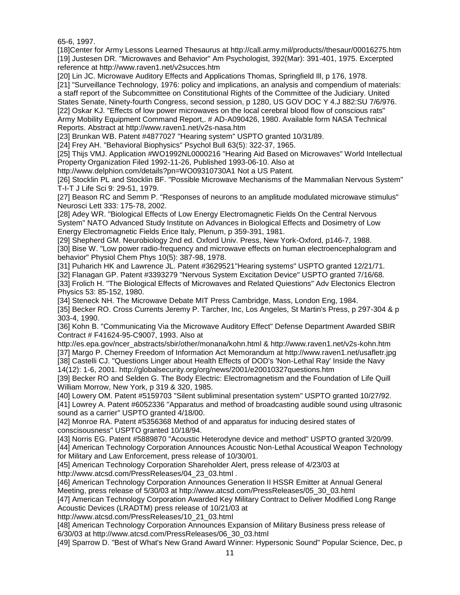65-6, 1997.

[18]Center for Army Lessons Learned Thesaurus at http://call.army.mil/products//thesaur/00016275.htm [19] Justesen DR. "Microwaves and Behavior" Am Psychologist, 392(Mar): 391-401, 1975. Excerpted reference at http://www.raven1.net/v2succes.htm

[20] Lin JC. Microwave Auditory Effects and Applications Thomas, Springfield Ill, p 176, 1978.

[21] "Surveillance Technology, 1976: policy and implications, an analysis and compendium of materials: a staff report of the Subcommittee on Constitutional Rights of the Committee of the Judiciary. United States Senate, Ninety-fourth Congress, second session, p 1280, US GOV DOC Y 4.J 882:SU 7/6/976. [22] Oskar KJ. "Effects of low power microwaves on the local cerebral blood flow of conscious rats" Army Mobility Equipment Command Report,. # AD-A090426, 1980. Available form NASA Technical Reports. Abstract at http://www.raven1.net/v2s-nasa.htm

[23] Brunkan WB. Patent #4877027 "Hearing system" USPTO granted 10/31/89.

[24] Frey AH. "Behavioral Biophysics" Psychol Bull 63(5): 322-37, 1965.

[25] Thijs VMJ. Application #WO1992NL0000216 "Hearing Aid Based on Microwaves" World Intellectual Property Organization Filed 1992-11-26, Published 1993-06-10. Also at

http://www.delphion.com/details?pn=WO09310730A1 Not a US Patent.

[26] Stocklin PL and Stocklin BF. "Possible Microwave Mechanisms of the Mammalian Nervous System" T-I-T J Life Sci 9: 29-51, 1979.

[27] Beason RC and Semm P. "Responses of neurons to an amplitude modulated microwave stimulus" Neurosci Lett 333: 175-78, 2002.

[28] Adey WR. "Biological Effects of Low Energy Electromagnetic Fields On the Central Nervous System" NATO Advanced Study Institute on Advances in Biological Effects and Dosimetry of Low Energy Electromagnetic Fields Erice Italy, Plenum, p 359-391, 1981.

[29] Shepherd GM. Neurobiology 2nd ed. Oxford Univ. Press, New York-Oxford, p146-7, 1988. [30] Bise W. "Low power radio-frequency and microwave effects on human electroencephalogram and behavior" Physiol Chem Phys 10(5): 387-98, 1978.

[31] Puharich HK and Lawrence JL. Patent #3629521"Hearing systems" USPTO granted 12/21/71.

[32] Flanagan GP. Patent #3393279 "Nervous System Excitation Device" USPTO granted 7/16/68. [33] Frolich H. "The Biological Effects of Microwaves and Related Quiestions" Adv Electonics Electron

Physics 53: 85-152, 1980. [34] Steneck NH. The Microwave Debate MIT Press Cambridge, Mass, London Eng, 1984.

[35] Becker RO. Cross Currents Jeremy P. Tarcher, Inc, Los Angeles, St Martin's Press, p 297-304 & p 303-4, 1990.

[36] Kohn B. "Communicating Via the Microwave Auditory Effect" Defense Department Awarded SBIR Contract # F41624-95-C9007, 1993. Also at

http://es.epa.gov/ncer\_abstracts/sbir/other/monana/kohn.html & http://www.raven1.net/v2s-kohn.htm

[37] Margo P. Cherney Freedom of Information Act Memorandum at http://www.raven1.net/usafletr.jpg [38] Castelli CJ. "Questions Linger about Health Effects of DOD's 'Non-Lethal Ray' Inside the Navy

14(12): 1-6, 2001. http://globalsecurity.org/org/news/2001/e20010327questions.htm

[39] Becker RO and Selden G. The Body Electric: Electromagnetism and the Foundation of Life Quill William Morrow, New York, p 319 & 320, 1985.

[40] Lowery OM. Patent #5159703 "Silent subliminal presentation system" USPTO granted 10/27/92.

[41] Lowrey A. Patent #6052336 "Apparatus and method of broadcasting audible sound using ultrasonic sound as a carrier" USPTO granted 4/18/00.

[42] Monroe RA. Patent #5356368 Method of and apparatus for inducing desired states of conscisousness" USPTO granted 10/18/94.

[43] Norris EG. Patent #5889870 "Acoustic Heterodyne device and method" USPTO granted 3/20/99.

[44] American Technology Corporation Announces Acoustic Non-Lethal Acoustical Weapon Technology for Military and Law Enforcement, press release of 10/30/01.

[45] American Technology Corporation Shareholder Alert, press release of 4/23/03 at http://www.atcsd.com/PressReleases/04\_23\_03.html .

[46] American Technology Corporation Announces Generation II HSSR Emitter at Annual General Meeting, press release of 5/30/03 at http://www.atcsd.com/PressReleases/05\_30\_03.html

[47] American Technology Corporation Awarded Key Military Contract to Deliver Modified Long Range Acoustic Devices (LRADTM) press release of 10/21/03 at

http://www.atcsd.com/PressReleases/10\_21\_03.html

[48] American Technology Corporation Announces Expansion of Military Business press release of 6/30/03 at http://www.atcsd.com/PressReleases/06\_30\_03.html

[49] Sparrow D. "Best of What's New Grand Award Winner: Hypersonic Sound" Popular Science, Dec, p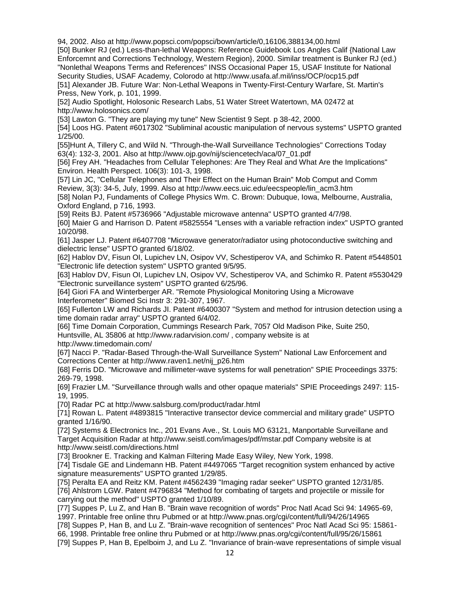94, 2002. Also at http://www.popsci.com/popsci/bown/article/0,16106,388134,00.html

[50] Bunker RJ (ed.) Less-than-lethal Weapons: Reference Guidebook Los Angles Calif {National Law Enforcemnt and Corrections Technology, Western Region}, 2000. Similar treatment is Bunker RJ (ed.) "Nonlethal Weapons Terms and References" INSS Occasional Paper 15, USAF Institute for National Security Studies, USAF Academy, Colorodo at http://www.usafa.af.mil/inss/OCP/ocp15.pdf [51] Alexander JB. Future War: Non-Lethal Weapons in Twenty-First-Century Warfare, St. Martin's Press, New York, p. 101, 1999.

[52] Audio Spotlight, Holosonic Research Labs, 51 Water Street Watertown, MA 02472 at http://www.holosonics.com/

[53] Lawton G. "They are playing my tune" New Scientist 9 Sept. p 38-42, 2000.

[54] Loos HG. Patent #6017302 "Subliminal acoustic manipulation of nervous systems" USPTO granted 1/25/00.

[55]Hunt A, Tillery C, and Wild N. "Through-the-Wall Surveillance Technologies" Corrections Today 63(4): 132-3, 2001. Also at http://www.ojp.gov/nij/sciencetech/aca/07\_01.pdf

[56] Frey AH. "Headaches from Cellular Telephones: Are They Real and What Are the Implications" Environ. Health Perspect. 106(3): 101-3, 1998.

[57] Lin JC, "Cellular Telephones and Their Effect on the Human Brain" Mob Comput and Comm Review, 3(3): 34-5, July, 1999. Also at http://www.eecs.uic.edu/eecspeople/lin\_acm3.htm [58] Nolan PJ, Fundaments of College Physics Wm. C. Brown: Dubuque, Iowa, Melbourne, Australia,

Oxford England, p 716, 1993.

[59] Reits BJ. Patent #5736966 "Adjustable microwave antenna" USPTO granted 4/7/98.

[60] Maier G and Harrison D. Patent #5825554 "Lenses with a variable refraction index" USPTO granted 10/20/98.

[61] Jasper LJ. Patent #6407708 "Microwave generator/radiator using photoconductive switching and dielectric lense" USPTO granted 6/18/02.

[62] Hablov DV, Fisun OI, Lupichev LN, Osipov VV, Schestiperov VA, and Schimko R. Patent #5448501 "Electronic life detection system" USPTO granted 9/5/95.

[63] Hablov DV, Fisun OI, Lupichev LN, Osipov VV, Schestiperov VA, and Schimko R. Patent #5530429 "Electronic surveillance system" USPTO granted 6/25/96.

[64] Giori FA and Winterberger AR. "Remote Physiological Monitoring Using a Microwave Interferometer" Biomed Sci Instr 3: 291-307, 1967.

[65] Fullerton LW and Richards JI. Patent #6400307 "System and method for intrusion detection using a time domain radar array" USPTO granted 6/4/02.

[66] Time Domain Corporation, Cummings Research Park, 7057 Old Madison Pike, Suite 250,

Huntsville, AL 35806 at http://www.radarvision.com/ , company website is at

http://www.timedomain.com/

[67] Nacci P. "Radar-Based Through-the-Wall Surveillance System" National Law Enforcement and Corrections Center at http://www.raven1.net/nij\_p26.htm

[68] Ferris DD. "Microwave and millimeter-wave systems for wall penetration" SPIE Proceedings 3375: 269-79, 1998.

[69] Frazier LM. "Surveillance through walls and other opaque materials" SPIE Proceedings 2497: 115- 19, 1995.

[70] Radar PC at http://www.salsburg.com/product/radar.html

[71] Rowan L. Patent #4893815 "Interactive transector device commercial and military grade" USPTO granted 1/16/90.

[72] Systems & Electronics Inc., 201 Evans Ave., St. Louis MO 63121, Manportable Surveillane and Target Acquisition Radar at http://www.seistl.com/images/pdf/mstar.pdf Company website is at http://www.seistl.com/directions.html

[73] Brookner E. Tracking and Kalman Filtering Made Easy Wiley, New York, 1998.

[74] Tisdale GE and Lindemann HB. Patent #4497065 "Target recognition system enhanced by active signature measurements" USPTO granted 1/29/85.

[75] Peralta EA and Reitz KM. Patent #4562439 "Imaging radar seeker" USPTO granted 12/31/85. [76] Ahlstrom LGW. Patent #4796834 "Method for combating of targets and projectile or missile for carrying out the method" USPTO granted 1/10/89.

[77] Suppes P, Lu Z, and Han B. "Brain wave recognition of words" Proc Natl Acad Sci 94: 14965-69, 1997. Printable free online thru Pubmed or at http://www.pnas.org/cgi/content/full/94/26/14965

[78] Suppes P, Han B, and Lu Z. "Brain-wave recognition of sentences" Proc Natl Acad Sci 95: 15861- 66, 1998. Printable free online thru Pubmed or at http://www.pnas.org/cgi/content/full/95/26/15861

[79] Suppes P, Han B, Epelboim J, and Lu Z. "Invariance of brain-wave representations of simple visual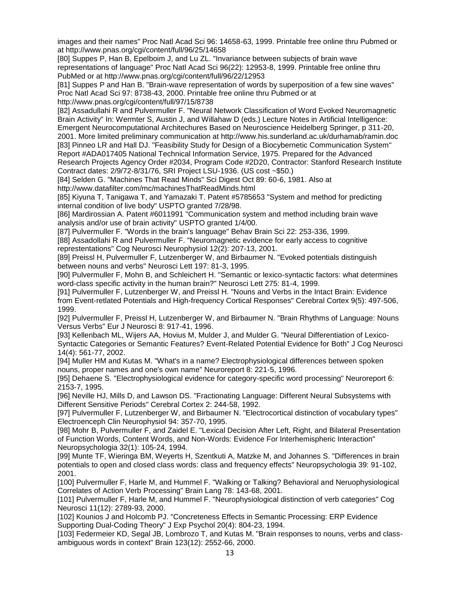images and their names" Proc Natl Acad Sci 96: 14658-63, 1999. Printable free online thru Pubmed or at http://www.pnas.org/cgi/content/full/96/25/14658

[80] Suppes P, Han B, Epelboim J, and Lu ZL. "Invariance between subjects of brain wave representations of language" Proc Natl Acad Sci 96(22): 12953-8, 1999. Printable free online thru PubMed or at http://www.pnas.org/cgi/content/full/96/22/12953

[81] Suppes P and Han B. "Brain-wave representation of words by superposition of a few sine waves" Proc Natl Acad Sci 97: 8738-43, 2000. Printable free online thru Pubmed or at

http://www.pnas.org/cgi/content/full/97/15/8738 [82] Assadullahi R and Pulvermuller F. "Neural Network Classification of Word Evoked Neuromagnetic Brain Activity" In: Wermter S, Austin J, and Willahaw D (eds.) Lecture Notes in Artificial Intelligence: Emergent Neurocomputational Architechures Based on Neuroscience Heidelberg Springer, p 311-20, 2001. More limited preliminary communication at http://www.his.sunderland.ac.uk/durhamab/ramin.doc [83] Pinneo LR and Hall DJ. "Feasibility Study for Design of a Biocybernetic Communication System"

Report #ADA017405 National Technical Information Service, 1975. Prepared for the Advanced Research Projects Agency Order #2034, Program Code #2D20, Contractor: Stanford Research Institute Contract dates: 2/9/72-8/31/76, SRI Project LSU-1936. (US cost ~\$50.)

[84] Selden G. "Machines That Read Minds" Sci Digest Oct 89: 60-6, 1981. Also at http://www.datafilter.com/mc/machinesThatReadMinds.html

[85] Kiyuna T, Tanigawa T, and Yamazaki T. Patent #5785653 "System and method for predicting internal condition of live body" USPTO granted 7/28/98.

[86] Mardirossian A. Patent #6011991 "Communication system and method including brain wave analysis and/or use of brain activity" USPTO granted 1/4/00.

[87] Pulvermuller F. "Words in the brain's language" Behav Brain Sci 22: 253-336, 1999.

[88] Assadollahi R and Pulvermuller F. "Neuromagnetic evidence for early access to cognitive represtentations" Cog Neurosci Neurophysiol 12(2): 207-13, 2001.

[89] Preissl H, Pulvermuller F, Lutzenberger W, and Birbaumer N. "Evoked potentials distinguish between nouns and verbs" Neurosci Lett 197: 81-3, 1995.

[90] Pulvermuller F, Mohn B, and Schleichert H. "Semantic or lexico-syntactic factors: what determines word-class specific activity in the human brain?" Neurosci Lett 275: 81-4, 1999.

[91] Pulvermuller F, Lutzenberger W, and Preissl H. "Nouns and Verbs in the Intact Brain: Evidence from Event-retlated Potentials and High-frequency Cortical Responses" Cerebral Cortex 9(5): 497-506, 1999.

[92] Pulvermuller F, Preissl H, Lutzenberger W, and Birbaumer N. "Brain Rhythms of Language: Nouns Versus Verbs" Eur J Neurosci 8: 917-41, 1996.

[93] Kellenbach ML, Wijers AA, Hovius M, Mulder J, and Mulder G. "Neural Differentiation of Lexico-Syntactic Categories or Semantic Features? Event-Related Potential Evidence for Both" J Cog Neurosci 14(4): 561-77, 2002.

[94] Muller HM and Kutas M. "What's in a name? Electrophysiological differences between spoken nouns, proper names and one's own name" Neuroreport 8: 221-5, 1996.

[95] Dehaene S. "Electrophysiological evidence for category-specific word processing" Neuroreport 6: 2153-7, 1995.

[96] Neville HJ, Mills D, and Lawson DS. "Fractionating Language: Different Neural Subsystems with Different Sensitive Periods" Cerebral Cortex 2: 244-58, 1992.

[97] Pulvermuller F, Lutzenberger W, and Birbaumer N. "Electrocortical distinction of vocabulary types" Electroenceph Clin Neurophysiol 94: 357-70, 1995.

[98] Mohr B, Pulvermuller F, and Zaidel E. "Lexical Decision After Left, Right, and Bilateral Presentation of Function Words, Content Words, and Non-Words: Evidence For Interhemispheric Interaction" Neuropsychologia 32(1): 105-24, 1994.

[99] Munte TF, Wieringa BM, Weyerts H, Szentkuti A, Matzke M, and Johannes S. "Differences in brain potentials to open and closed class words: class and frequency effects" Neuropsychologia 39: 91-102, 2001.

[100] Pulvermuller F, Harle M, and Hummel F. "Walking or Talking? Behavioral and Neruophysiological Correlates of Action Verb Processing" Brain Lang 78: 143-68, 2001.

[101] Pulvermuller F, Harle M, and Hummel F. "Neurophysiological distinction of verb categories" Cog Neurosci 11(12): 2789-93, 2000.

[102] Kounios J and Holcomb PJ. "Concreteness Effects in Semantic Processing: ERP Evidence Supporting Dual-Coding Theory" J Exp Psychol 20(4): 804-23, 1994.

[103] Federmeier KD, Segal JB, Lombrozo T, and Kutas M. "Brain responses to nouns, verbs and classambiguous words in context" Brain 123(12): 2552-66, 2000.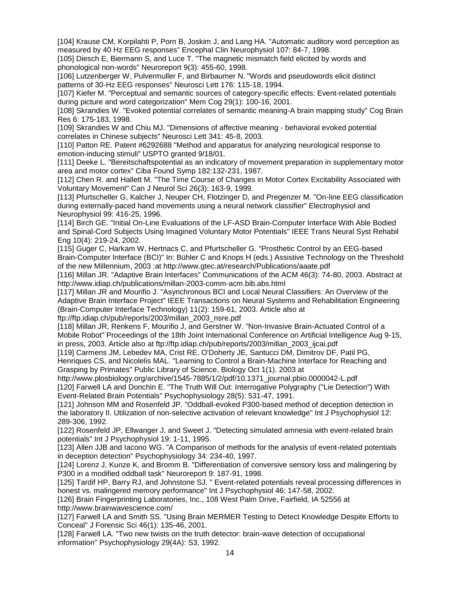[104] Krause CM, Korpilahti P, Porn B, Joskim J, and Lang HA. "Automatic auditory word perception as measured by 40 Hz EEG responses" Encephal Clin Neurophysiol 107: 84-7, 1998.

[105] Diesch E, Biermann S, and Luce T. "The magnetic mismatch field elicited by words and phonological non-words" Neuroreport 9(3): 455-60, 1998.

[106] Lutzenberger W, Pulvermuller F, and Birbaumer N. "Words and pseudowords elicit distinct patterns of 30-Hz EEG responses" Neurosci Lett 176: 115-18, 1994.

[107] Kiefer M. "Perceptual and semantic sources of category-specific effects: Event-related potentials during picture and word categorization" Mem Cog 29(1): 100-16, 2001.

[108] Skrandies W. "Evoked potential correlates of semantic meaning-A brain mapping study" Cog Brain Res 6: 175-183, 1998.

[109] Skrandies W and Chiu MJ. "Dimensions of affective meaning - behavioral evoked potential correlates in Chinese subjects" Neurosci Lett 341: 45-8, 2003.

[110] Patton RE. Patent #6292688 "Method and apparatus for analyzing neurological response to emotion-inducing stimuli" USPTO granted 9/18/01.

[111] Deeke L. "Bereitschaftspotential as an indicatory of movement preparation in supplementary motor area and motor cortex" Ciba Found Symp 182:132-231, 1987.

[112] Chen R. and Hallett M. "The Time Course of Changes in Motor Cortex Excitability Associated with Voluntary Movement" Can J Neurol Sci 26(3): 163-9, 1999.

[113] Pfurtscheller G, Kalcher J, Neuper CH, Flotzinger D, and Pregenzer M. "On-line EEG classification during externally-paced hand movements using a neural network classifier" Electrophysiol and Neurophysiol 99: 416-25, 1996.

[114] Birch GE. "Initial On-Line Evaluations of the LF-ASD Brain-Computer Interface With Able Bodied and Spinal-Cord Subjects Using Imagined Voluntary Motor Potentials" IEEE Trans Neural Syst Rehabil Eng 10(4): 219-24, 2002.

[115] Guger C, Harkam W, Hertnacs C, and Pfurtscheller G. "Prosthetic Control by an EEG-based Brain-Computer Interface (BCI)" In: Bühler C and Knops H (eds.) Assistive Technology on the Threshold of the new Millennium, 2003 :at http://www.gtec.at/research/Publications/aaate.pdf

[116] Millan JR. "Adaptive Brain Interfaces" Communications of the ACM 46(3): 74-80, 2003. Abstract at http://www.idiap.ch/publications/millan-2003-comm-acm.bib.abs.html

[117] Millan JR and Mourifio J. "Asynchronous BCI and Local Neural Classifiers: An Overview of the Adaptive Brain Interface Project" IEEE Transactions on Neural Systems and Rehabilitation Engineering (Brain-Computer Interface Technology) 11(2): 159-61, 2003. Article also at

ftp://ftp.idiap.ch/pub/reports/2003/millan\_2003\_nsre.pdf

[118] Millan JR, Renkens F, Mourifio J, and Gerstner W. "Non-Invasive Brain-Actuated Control of a Mobile Robot" Proceedings of the 18th Joint International Conference on Artificial Intelligence Aug 9-15, in press, 2003. Article also at ftp://ftp.idiap.ch/pub/reports/2003/millan\_2003\_ijcai.pdf

[119] Carmens JM, Lebedev MA, Crist RE, O'Doherty JE, Santucci DM, Dimitrov DF, Patil PG, Henriques CS, and Nicolelis MAL. "Learning to Control a Brain-Machine Interface for Reaching and Grasping by Primates" Public Library of Science, Biology Oct 1(1). 2003 at

http://www.plosbiology.org/archive/1545-7885/1/2/pdf/10.1371\_journal.pbio.0000042-L.pdf [120] Farwell LA and Donchin E. "The Truth Will Out: Interrogative Polygraphy ("Lie Detection") With Event-Related Brain Potentials" Psychophysiology 28(5): 531-47, 1991.

[121] Johnson MM and Rosenfeld JP. "Oddball-evoked P300-based method of deception detection in the laboratory II. Utilization of non-selective activation of relevant knowledge" Int J Psychophysiol 12: 289-306, 1992.

[122] Rosenfeld JP, Ellwanger J, and Sweet J. "Detecting simulated amnesia with event-related brain potentials" Int J Psychophysiol 19: 1-11, 1995.

[123] Allen JJB and Iacono WG. "A Comparison of methods for the analysis of event-related potentials in deception detection" Psychophysiology 34: 234-40, 1997.

[124] Lorenz J, Kunze K, and Bromm B. "Differentiation of conversive sensory loss and malingering by P300 in a modified oddball task" Neuroreport 9: 187-91, 1998.

[125] Tardif HP, Barry RJ, and Johnstone SJ. " Event-related potentials reveal processing differences in honest vs. malingered memory performance" Int J Psychophysiol 46: 147-58, 2002.

[126] Brain Fingerprinting Laboratories, Inc., 108 West Palm Drive, Fairfield, IA 52556 at http://www.brainwavescience.com/

[127] Farwell LA and Smith SS. "Using Brain MERMER Testing to Detect Knowledge Despite Efforts to Conceal" J Forensic Sci 46(1): 135-46, 2001.

[128] Farwell LA. "Two new twists on the truth detector: brain-wave detection of occupational information" Psychophysiology 29(4A): S3, 1992.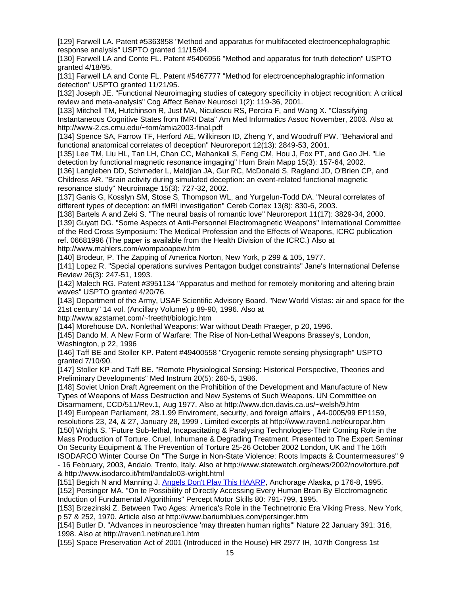[129] Farwell LA. Patent #5363858 "Method and apparatus for multifaceted electroencephalographic response analysis" USPTO granted 11/15/94.

[130] Farwell LA and Conte FL. Patent #5406956 "Method and apparatus for truth detection" USPTO granted 4/18/95.

[131] Farwell LA and Conte FL. Patent #5467777 "Method for electroencephalographic information detection" USPTO granted 11/21/95.

[132] Joseph JE. "Functional Neuroimaging studies of category specificity in object recognition: A critical review and meta-analysis" Cog Affect Behav Neurosci 1(2): 119-36, 2001.

[133] Mitchell TM, Hutchinson R, Just MA, Niculescu RS, Percira F, and Wang X. "Classifying Instantaneous Cognitive States from fMRI Data" Am Med Informatics Assoc November, 2003. Also at http://www-2.cs.cmu.edu/~tom/amia2003-final.pdf

[134] Spence SA, Farrow TF, Herford AE, Wilkinson ID, Zheng Y, and Woodruff PW. "Behavioral and functional anatomical correlates of deception" Neuroreport 12(13): 2849-53, 2001.

[135] Lee TM, Liu HL, Tan LH, Chan CC, Mahankali S, Feng CM, Hou J, Fox PT, and Gao JH. "Lie detection by functional magnetic resonance imgaging" Hum Brain Mapp 15(3): 157-64, 2002.

[136] Langleben DD, Schrneder L, Maldjian JA, Gur RC, McDonald S, Ragland JD, O'Brien CP, and Childress AR. "Brain activity during simulated deception: an event-related functional magnetic resonance study" Neuroimage 15(3): 727-32, 2002.

[137] Ganis G, Kosslyn SM, Stose S, Thompson WL, and Yurgelun-Todd DA. "Neural correlates of different types of deception: an fMRI investigation" Cereb Cortex 13(8): 830-6, 2003.

[138] Bartels A and Zeki S. "The neural basis of romantic love" Neuroreport 11(17): 3829-34, 2000. [139] Guyatt DG. "Some Aspects of Anti-Personnel Electromagnetic Weapons" International Committee of the Red Cross Symposium: The Medical Profession and the Effects of Weapons, ICRC publication ref. 06681996 (The paper is available from the Health Division of the ICRC.) Also at http://www.mahlers.com/wompaoapew.htm

[140] Brodeur, P. The Zapping of America Norton, New York, p 299 & 105, 1977.

[141] Lopez R. "Special operations survives Pentagon budget constraints" Jane's International Defense Review 26(3): 247-51, 1993.

[142] Malech RG. Patent #3951134 "Apparatus and method for remotely monitoring and altering brain waves" USPTO granted 4/20/76.

[143] Department of the Army, USAF Scientific Advisory Board. "New World Vistas: air and space for the 21st century" 14 vol. (Ancillary Volume) p 89-90, 1996. Also at

http://www.azstarnet.com/~freetht/biologic.htm

[144] Morehouse DA. Nonlethal Weapons: War without Death Praeger, p 20, 1996.

[145] Dando M. A New Form of Warfare: The Rise of Non-Lethal Weapons Brassey's, London, Washington, p 22, 1996

[146] Taff BE and Stoller KP. Patent #49400558 "Cryogenic remote sensing physiograph" USPTO granted 7/10/90.

[147] Stoller KP and Taff BE. "Remote Physiological Sensing: Historical Perspective, Theories and Preliminary Developments" Med Instrum 20(5): 260-5, 1986.

[148] Soviet Union Draft Agreement on the Prohibition of the Development and Manufacture of New Types of Weapons of Mass Destruction and New Systems of Such Weapons. UN Committee on Disarmament, CCD/511/Rev.1, Aug 1977. Also at http://www.dcn.davis.ca.us/~welsh/9.htm

[149] European Parliament, 28.1.99 Enviroment, security, and foreign affairs , A4-0005/99 EP1159, resolutions 23, 24, & 27, January 28, 1999 . Limited excerpts at http://www.raven1.net/europar.htm [150] Wright S. "Future Sub-lethal, Incapacitating & Paralysing Technologies-Their Coming Role in the Mass Production of Torture, Cruel, Inhumane & Degrading Treatment. Presented to The Expert Seminar On Security Equipment & The Prevention of Torture 25-26 October 2002 London, UK and The 16th ISODARCO Winter Course On "The Surge in Non-State Violence: Roots Impacts & Countermeasures" 9

- 16 February, 2003, Andalo, Trento, Italy. Also at http://www.statewatch.org/news/2002/nov/torture.pdf & http://www.isodarco.it/html/andalo03-wright.html

[151] Begich N and Manning J. [Angels Don't Play This HAARP,](http://www.bibliotecapleyades.net/haarp/angels_dontplay/angels_dontplay.htm) Anchorage Alaska, p 176-8, 1995.

[152] Persinger MA. "On te Possibility of Directly Accessing Every Human Brain By Elcctromagnetic Induction of Fundamental Algorithims" Percept Motor Skills 80: 791-799, 1995.

[153] Brzezinski Z. Between Two Ages: America's Role in the Technetronic Era Viking Press, New York, p 57 & 252, 1970. Article also at http://www.bariumblues.com/persinger.htm

[154] Butler D. "Advances in neuroscience 'may threaten human rights'" Nature 22 January 391: 316, 1998. Also at http://raven1.net/nature1.htm

[155] Space Preservation Act of 2001 (Introduced in the House) HR 2977 IH, 107th Congress 1st